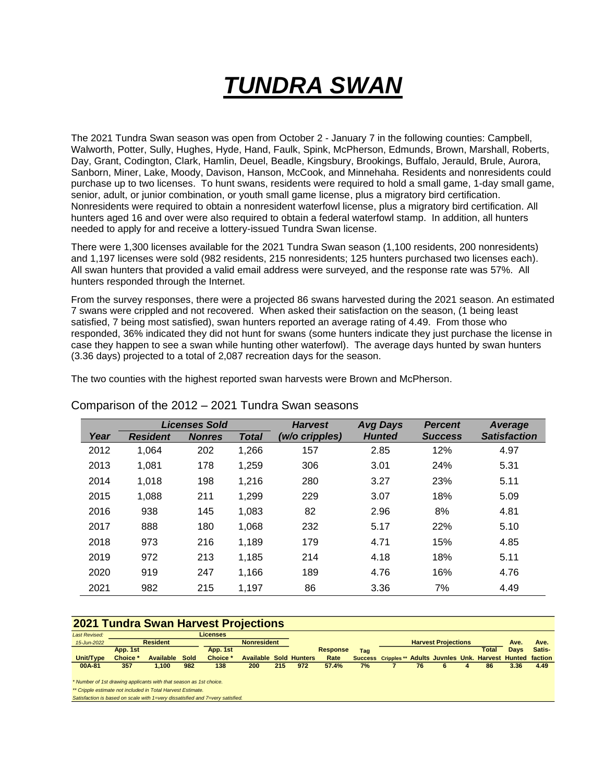# *TUNDRA SWAN*

The 2021 Tundra Swan season was open from October 2 - January 7 in the following counties: Campbell, Walworth, Potter, Sully, Hughes, Hyde, Hand, Faulk, Spink, McPherson, Edmunds, Brown, Marshall, Roberts, Day, Grant, Codington, Clark, Hamlin, Deuel, Beadle, Kingsbury, Brookings, Buffalo, Jerauld, Brule, Aurora, Sanborn, Miner, Lake, Moody, Davison, Hanson, McCook, and Minnehaha. Residents and nonresidents could purchase up to two licenses. To hunt swans, residents were required to hold a small game, 1-day small game, senior, adult, or junior combination, or youth small game license, plus a migratory bird certification. Nonresidents were required to obtain a nonresident waterfowl license, plus a migratory bird certification. All hunters aged 16 and over were also required to obtain a federal waterfowl stamp. In addition, all hunters needed to apply for and receive a lottery-issued Tundra Swan license.

There were 1,300 licenses available for the 2021 Tundra Swan season (1,100 residents, 200 nonresidents) and 1,197 licenses were sold (982 residents, 215 nonresidents; 125 hunters purchased two licenses each). All swan hunters that provided a valid email address were surveyed, and the response rate was 57%. All hunters responded through the Internet.

From the survey responses, there were a projected 86 swans harvested during the 2021 season. An estimated 7 swans were crippled and not recovered. When asked their satisfaction on the season, (1 being least satisfied, 7 being most satisfied), swan hunters reported an average rating of 4.49. From those who responded, 36% indicated they did not hunt for swans (some hunters indicate they just purchase the license in case they happen to see a swan while hunting other waterfowl). The average days hunted by swan hunters (3.36 days) projected to a total of 2,087 recreation days for the season.

The two counties with the highest reported swan harvests were Brown and McPherson.

|      |                 | <b>Licenses Sold</b> |              | <b>Harvest</b> | <b>Avg Days</b> | <b>Percent</b> | Average             |
|------|-----------------|----------------------|--------------|----------------|-----------------|----------------|---------------------|
| Year | <b>Resident</b> | <b>Nonres</b>        | <b>Total</b> | (w/o cripples) | <b>Hunted</b>   | <b>Success</b> | <b>Satisfaction</b> |
| 2012 | 1,064           | 202                  | 1,266        | 157            | 2.85            | 12%            | 4.97                |
| 2013 | 1,081           | 178                  | 1,259        | 306            | 3.01            | 24%            | 5.31                |
| 2014 | 1,018           | 198                  | 1,216        | 280            | 3.27            | 23%            | 5.11                |
| 2015 | 1,088           | 211                  | 1,299        | 229            | 3.07            | 18%            | 5.09                |
| 2016 | 938             | 145                  | 1,083        | 82             | 2.96            | 8%             | 4.81                |
| 2017 | 888             | 180                  | 1,068        | 232            | 5.17            | 22%            | 5.10                |
| 2018 | 973             | 216                  | 1,189        | 179            | 4.71            | 15%            | 4.85                |
| 2019 | 972             | 213                  | 1,185        | 214            | 4.18            | 18%            | 5.11                |
| 2020 | 919             | 247                  | 1,166        | 189            | 4.76            | 16%            | 4.76                |
| 2021 | 982             | 215                  | 1,197        | 86             | 3.36            | 7%             | 4.49                |

#### Comparison of the 2012 – 2021 Tundra Swan seasons

#### **2021 Tundra Swan Harvest Projections**

| <b>Last Revised:</b>                                                          |                                       |                  |      | Licenses |                               |     |     |                            |     |                            |    |  |      |                                            |      |        |
|-------------------------------------------------------------------------------|---------------------------------------|------------------|------|----------|-------------------------------|-----|-----|----------------------------|-----|----------------------------|----|--|------|--------------------------------------------|------|--------|
| 15-Jun-2022                                                                   | <b>Resident</b><br><b>Nonresident</b> |                  |      |          |                               |     |     | <b>Harvest Projections</b> |     |                            |    |  | Ave. | Ave.                                       |      |        |
|                                                                               | App. 1st                              |                  |      | App. 1st |                               |     |     | <b>Response</b>            | Tag |                            |    |  |      | Total                                      | Davs | Satis- |
| Unit/Type                                                                     | Choice <sup>*</sup>                   | <b>Available</b> | Sold | Choice * | <b>Available Sold Hunters</b> |     |     | Rate                       |     | <b>Success Cripples **</b> |    |  |      | Adults Juvnles Unk. Harvest Hunted faction |      |        |
| 00A-81                                                                        | 357                                   | 1,100            | 982  | 138      | 200                           | 215 | 972 | 57.4%                      | 7%  |                            | 76 |  |      | 86                                         | 3.36 | 4.49   |
|                                                                               |                                       |                  |      |          |                               |     |     |                            |     |                            |    |  |      |                                            |      |        |
| * Number of 1st drawing applicants with that season as 1st choice.            |                                       |                  |      |          |                               |     |     |                            |     |                            |    |  |      |                                            |      |        |
| ** Cripple estimate not included in Total Harvest Estimate.                   |                                       |                  |      |          |                               |     |     |                            |     |                            |    |  |      |                                            |      |        |
| Satisfaction is based on scale with 1=very dissatisfied and 7=very satisfied. |                                       |                  |      |          |                               |     |     |                            |     |                            |    |  |      |                                            |      |        |